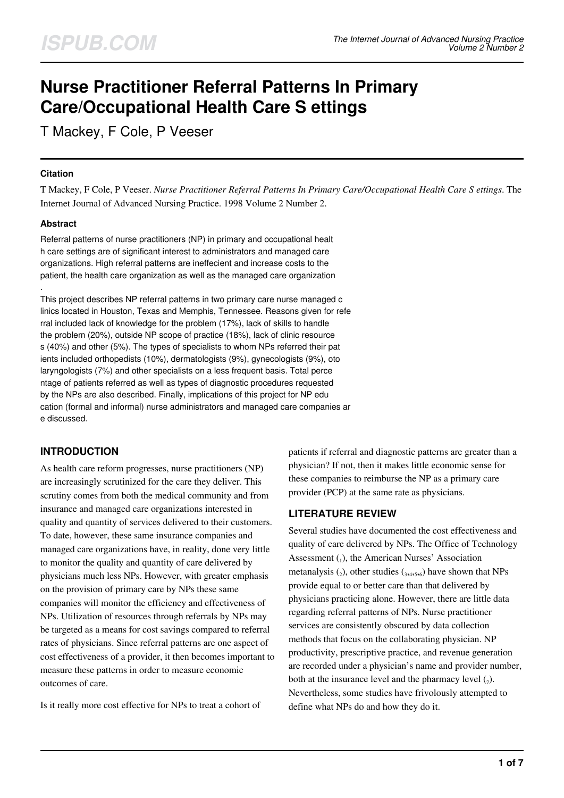# **Nurse Practitioner Referral Patterns In Primary Care/Occupational Health Care S ettings**

T Mackey, F Cole, P Veeser

### **Citation**

T Mackey, F Cole, P Veeser. *Nurse Practitioner Referral Patterns In Primary Care/Occupational Health Care S ettings*. The Internet Journal of Advanced Nursing Practice. 1998 Volume 2 Number 2.

## **Abstract**

.

Referral patterns of nurse practitioners (NP) in primary and occupational healt h care settings are of significant interest to administrators and managed care organizations. High referral patterns are ineffecient and increase costs to the patient, the health care organization as well as the managed care organization

This project describes NP referral patterns in two primary care nurse managed c linics located in Houston, Texas and Memphis, Tennessee. Reasons given for refe rral included lack of knowledge for the problem (17%), lack of skills to handle the problem (20%), outside NP scope of practice (18%), lack of clinic resource s (40%) and other (5%). The types of specialists to whom NPs referred their pat ients included orthopedists (10%), dermatologists (9%), gynecologists (9%), oto laryngologists (7%) and other specialists on a less frequent basis. Total perce ntage of patients referred as well as types of diagnostic procedures requested by the NPs are also described. Finally, implications of this project for NP edu cation (formal and informal) nurse administrators and managed care companies ar e discussed.

# **INTRODUCTION**

As health care reform progresses, nurse practitioners (NP) are increasingly scrutinized for the care they deliver. This scrutiny comes from both the medical community and from insurance and managed care organizations interested in quality and quantity of services delivered to their customers. To date, however, these same insurance companies and managed care organizations have, in reality, done very little to monitor the quality and quantity of care delivered by physicians much less NPs. However, with greater emphasis on the provision of primary care by NPs these same companies will monitor the efficiency and effectiveness of NPs. Utilization of resources through referrals by NPs may be targeted as a means for cost savings compared to referral rates of physicians. Since referral patterns are one aspect of cost effectiveness of a provider, it then becomes important to measure these patterns in order to measure economic outcomes of care.

Is it really more cost effective for NPs to treat a cohort of

patients if referral and diagnostic patterns are greater than a physician? If not, then it makes little economic sense for these companies to reimburse the NP as a primary care provider (PCP) at the same rate as physicians.

## **LITERATURE REVIEW**

Several studies have documented the cost effectiveness and quality of care delivered by NPs. The Office of Technology Assessment  $_{1}$ ), the American Nurses' Association metanalysis  $\binom{1}{2}$ , other studies  $\binom{1}{3,4,5,6}$  have shown that NPs provide equal to or better care than that delivered by physicians practicing alone. However, there are little data regarding referral patterns of NPs. Nurse practitioner services are consistently obscured by data collection methods that focus on the collaborating physician. NP productivity, prescriptive practice, and revenue generation are recorded under a physician's name and provider number, both at the insurance level and the pharmacy level  $(7)$ . Nevertheless, some studies have frivolously attempted to define what NPs do and how they do it.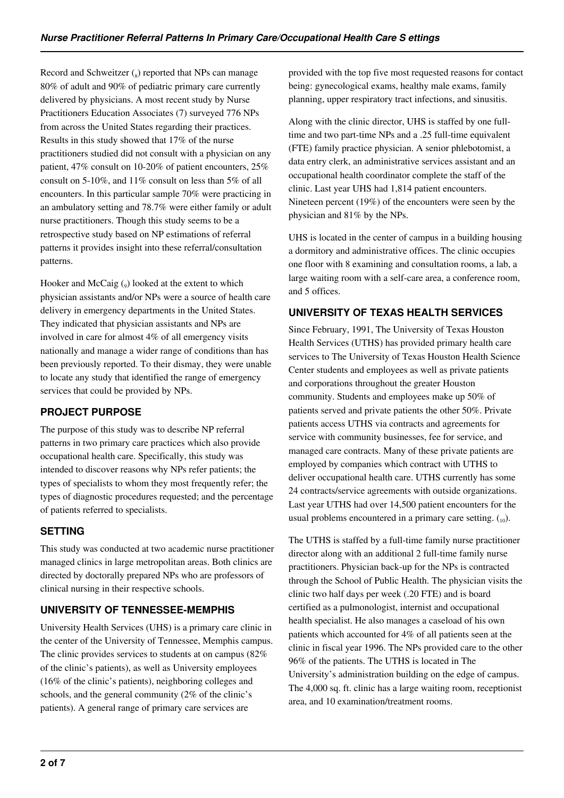Record and Schweitzer  $\binom{8}{8}$  reported that NPs can manage 80% of adult and 90% of pediatric primary care currently delivered by physicians. A most recent study by Nurse Practitioners Education Associates (7) surveyed 776 NPs from across the United States regarding their practices. Results in this study showed that 17% of the nurse practitioners studied did not consult with a physician on any patient, 47% consult on 10-20% of patient encounters, 25% consult on 5-10%, and 11% consult on less than 5% of all encounters. In this particular sample 70% were practicing in an ambulatory setting and 78.7% were either family or adult nurse practitioners. Though this study seems to be a retrospective study based on NP estimations of referral patterns it provides insight into these referral/consultation patterns.

Hooker and McCaig  $\binom{1}{9}$  looked at the extent to which physician assistants and/or NPs were a source of health care delivery in emergency departments in the United States. They indicated that physician assistants and NPs are involved in care for almost 4% of all emergency visits nationally and manage a wider range of conditions than has been previously reported. To their dismay, they were unable to locate any study that identified the range of emergency services that could be provided by NPs.

## **PROJECT PURPOSE**

The purpose of this study was to describe NP referral patterns in two primary care practices which also provide occupational health care. Specifically, this study was intended to discover reasons why NPs refer patients; the types of specialists to whom they most frequently refer; the types of diagnostic procedures requested; and the percentage of patients referred to specialists.

# **SETTING**

This study was conducted at two academic nurse practitioner managed clinics in large metropolitan areas. Both clinics are directed by doctorally prepared NPs who are professors of clinical nursing in their respective schools.

# **UNIVERSITY OF TENNESSEE-MEMPHIS**

University Health Services (UHS) is a primary care clinic in the center of the University of Tennessee, Memphis campus. The clinic provides services to students at on campus (82% of the clinic's patients), as well as University employees (16% of the clinic's patients), neighboring colleges and schools, and the general community (2% of the clinic's patients). A general range of primary care services are

provided with the top five most requested reasons for contact being: gynecological exams, healthy male exams, family planning, upper respiratory tract infections, and sinusitis.

Along with the clinic director, UHS is staffed by one fulltime and two part-time NPs and a .25 full-time equivalent (FTE) family practice physician. A senior phlebotomist, a data entry clerk, an administrative services assistant and an occupational health coordinator complete the staff of the clinic. Last year UHS had 1,814 patient encounters. Nineteen percent (19%) of the encounters were seen by the physician and 81% by the NPs.

UHS is located in the center of campus in a building housing a dormitory and administrative offices. The clinic occupies one floor with 8 examining and consultation rooms, a lab, a large waiting room with a self-care area, a conference room, and 5 offices.

## **UNIVERSITY OF TEXAS HEALTH SERVICES**

Since February, 1991, The University of Texas Houston Health Services (UTHS) has provided primary health care services to The University of Texas Houston Health Science Center students and employees as well as private patients and corporations throughout the greater Houston community. Students and employees make up 50% of patients served and private patients the other 50%. Private patients access UTHS via contracts and agreements for service with community businesses, fee for service, and managed care contracts. Many of these private patients are employed by companies which contract with UTHS to deliver occupational health care. UTHS currently has some 24 contracts/service agreements with outside organizations. Last year UTHS had over 14,500 patient encounters for the usual problems encountered in a primary care setting.  $\binom{10}{10}$ .

The UTHS is staffed by a full-time family nurse practitioner director along with an additional 2 full-time family nurse practitioners. Physician back-up for the NPs is contracted through the School of Public Health. The physician visits the clinic two half days per week (.20 FTE) and is board certified as a pulmonologist, internist and occupational health specialist. He also manages a caseload of his own patients which accounted for 4% of all patients seen at the clinic in fiscal year 1996. The NPs provided care to the other 96% of the patients. The UTHS is located in The University's administration building on the edge of campus. The 4,000 sq. ft. clinic has a large waiting room, receptionist area, and 10 examination/treatment rooms.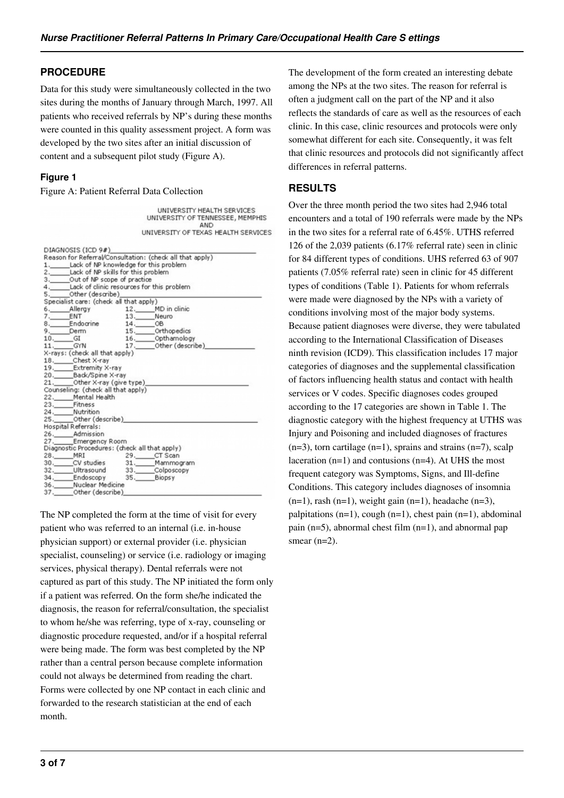## **PROCEDURE**

Data for this study were simultaneously collected in the two sites during the months of January through March, 1997. All patients who received referrals by NP's during these months were counted in this quality assessment project. A form was developed by the two sites after an initial discussion of content and a subsequent pilot study (Figure A).

**I INTVERSITY HEALTH SERVICES** 

#### **Figure 1**

Figure A: Patient Referral Data Collection

|                                               | UNIVERSITY OF TENNESSEE, MEMPHIS<br>AND                                                                                                                    |
|-----------------------------------------------|------------------------------------------------------------------------------------------------------------------------------------------------------------|
|                                               | UNIVERSITY OF TEXAS HEALTH SERVICES                                                                                                                        |
| DIAGNOSIS (ICD 9#)                            |                                                                                                                                                            |
|                                               | Reason for Referral/Consultation: (check all that apply)                                                                                                   |
| 1. Lack of NP knowledge for this problem      |                                                                                                                                                            |
| 2. Lack of NP skills for this problem         |                                                                                                                                                            |
| 3. _____ Out of NP scope of practice          |                                                                                                                                                            |
| 4. Lack of clinic resources for this problem  |                                                                                                                                                            |
| 5. Other (describe)                           |                                                                                                                                                            |
| Specialist care: (check all that apply)       |                                                                                                                                                            |
|                                               | 6. Allergy<br>7. ENT<br>7. ENT<br>7. ENT<br>8. Endocrine 14. Othopedics<br>9. Demn 15. Othopedics<br>10. GI 16. Othopedics<br>11. The 17. Other (describe) |
|                                               |                                                                                                                                                            |
|                                               |                                                                                                                                                            |
|                                               |                                                                                                                                                            |
|                                               |                                                                                                                                                            |
|                                               |                                                                                                                                                            |
| X-rays: (check all that apply)                |                                                                                                                                                            |
| 18. Chest X-ray                               |                                                                                                                                                            |
| 19. Extremity X-ray                           |                                                                                                                                                            |
| 20. Back/Spine X-ray                          |                                                                                                                                                            |
| 21. Other X-ray (give type)                   |                                                                                                                                                            |
| Counseling: (check all that apply)            |                                                                                                                                                            |
| 22. Mental Health                             |                                                                                                                                                            |
| 23. Fitness                                   |                                                                                                                                                            |
| 24._____Nutrition                             |                                                                                                                                                            |
| 25. Other (describe)                          |                                                                                                                                                            |
| Hospital Referrals:                           |                                                                                                                                                            |
| 26.______Admission                            |                                                                                                                                                            |
| 27. Emergency Room                            |                                                                                                                                                            |
| Diagnostic Procedures: (check all that apply) |                                                                                                                                                            |
| 28. MRI                                       |                                                                                                                                                            |
|                                               |                                                                                                                                                            |
| 32. Ultrasound 33. Colposcopy                 |                                                                                                                                                            |
| 34. Endoscopy 35. Biopsy                      |                                                                                                                                                            |
| 36. Nuclear Medicine                          |                                                                                                                                                            |
| 37. ______ Other (describe)                   |                                                                                                                                                            |

The NP completed the form at the time of visit for every patient who was referred to an internal (i.e. in-house physician support) or external provider (i.e. physician specialist, counseling) or service (i.e. radiology or imaging services, physical therapy). Dental referrals were not captured as part of this study. The NP initiated the form only if a patient was referred. On the form she/he indicated the diagnosis, the reason for referral/consultation, the specialist to whom he/she was referring, type of x-ray, counseling or diagnostic procedure requested, and/or if a hospital referral were being made. The form was best completed by the NP rather than a central person because complete information could not always be determined from reading the chart. Forms were collected by one NP contact in each clinic and forwarded to the research statistician at the end of each month.

The development of the form created an interesting debate among the NPs at the two sites. The reason for referral is often a judgment call on the part of the NP and it also reflects the standards of care as well as the resources of each clinic. In this case, clinic resources and protocols were only somewhat different for each site. Consequently, it was felt that clinic resources and protocols did not significantly affect differences in referral patterns.

## **RESULTS**

Over the three month period the two sites had 2,946 total encounters and a total of 190 referrals were made by the NPs in the two sites for a referral rate of 6.45%. UTHS referred 126 of the 2,039 patients (6.17% referral rate) seen in clinic for 84 different types of conditions. UHS referred 63 of 907 patients (7.05% referral rate) seen in clinic for 45 different types of conditions (Table 1). Patients for whom referrals were made were diagnosed by the NPs with a variety of conditions involving most of the major body systems. Because patient diagnoses were diverse, they were tabulated according to the International Classification of Diseases ninth revision (ICD9). This classification includes 17 major categories of diagnoses and the supplemental classification of factors influencing health status and contact with health services or V codes. Specific diagnoses codes grouped according to the 17 categories are shown in Table 1. The diagnostic category with the highest frequency at UTHS was Injury and Poisoning and included diagnoses of fractures  $(n=3)$ , torn cartilage  $(n=1)$ , sprains and strains  $(n=7)$ , scalp laceration  $(n=1)$  and contusions  $(n=4)$ . At UHS the most frequent category was Symptoms, Signs, and Ill-define Conditions. This category includes diagnoses of insomnia  $(n=1)$ , rash  $(n=1)$ , weight gain  $(n=1)$ , headache  $(n=3)$ , palpitations (n=1), cough (n=1), chest pain (n=1), abdominal pain (n=5), abnormal chest film (n=1), and abnormal pap smear  $(n=2)$ .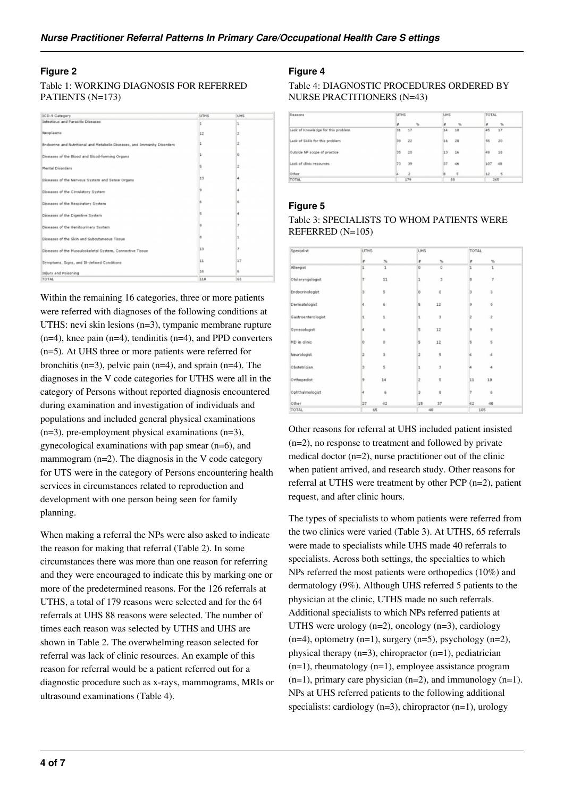## **Figure 2**

#### Table 1: WORKING DIAGNOSIS FOR REFERRED PATIENTS (N=173)

| ICD-9 Category                                                           | <b>UTHS</b> | <b>UHS</b> |
|--------------------------------------------------------------------------|-------------|------------|
| Infectious and Parasitic Diseases                                        | ı           | ı          |
| Neoplasms                                                                | 12          |            |
| Endocrine and Nutritional and Metabolic Diseases, and Immunity Disorders | l1          |            |
| Diseases of the Blood and Blood-forming Organs                           |             |            |
| Mental Disorders                                                         |             |            |
| Diseases of the Nervous System and Sense Organs                          | 13          |            |
| Diseases of the Circulatory System                                       |             |            |
| Diseases of the Respiratory System                                       |             |            |
| Diseases of the Digestive System                                         |             |            |
| Diseases of the Genitourinary System                                     |             |            |
| Diseases of the Skin and Subcutaneous Tissue                             |             |            |
| Diseases of the Musculoskeletal System, Connective Tissue                | 13          |            |
| Symptoms, Signs, and Ill-defined Conditions                              | 11          | 17         |
| Injury and Poisoning                                                     | 16          |            |
| <b>TOTAL</b>                                                             | 110         | 63         |

Within the remaining 16 categories, three or more patients were referred with diagnoses of the following conditions at UTHS: nevi skin lesions (n=3), tympanic membrane rupture  $(n=4)$ , knee pain  $(n=4)$ , tendinitis  $(n=4)$ , and PPD converters (n=5). At UHS three or more patients were referred for bronchitis (n=3), pelvic pain (n=4), and sprain (n=4). The diagnoses in the V code categories for UTHS were all in the category of Persons without reported diagnosis encountered during examination and investigation of individuals and populations and included general physical examinations  $(n=3)$ , pre-employment physical examinations  $(n=3)$ , gynecological examinations with pap smear (n=6), and mammogram (n=2). The diagnosis in the V code category for UTS were in the category of Persons encountering health services in circumstances related to reproduction and development with one person being seen for family planning.

When making a referral the NPs were also asked to indicate the reason for making that referral (Table 2). In some circumstances there was more than one reason for referring and they were encouraged to indicate this by marking one or more of the predetermined reasons. For the 126 referrals at UTHS, a total of 179 reasons were selected and for the 64 referrals at UHS 88 reasons were selected. The number of times each reason was selected by UTHS and UHS are shown in Table 2. The overwhelming reason selected for referral was lack of clinic resources. An example of this reason for referral would be a patient referred out for a diagnostic procedure such as x-rays, mammograms, MRIs or ultrasound examinations (Table 4).

## **Figure 4**

Table 4: DIAGNOSTIC PROCEDURES ORDERED BY NURSE PRACTITIONERS (N=43)

| Reasons                            | <b>UTHS</b>      | LHS          | TOTAL                 |
|------------------------------------|------------------|--------------|-----------------------|
|                                    | $\gamma_{\rm s}$ | $^{16}$<br>× | x<br>$\gamma_{\rm s}$ |
| Lack of Knowledge for this problem | 31               | 18           | 45                    |
|                                    | 17               | 14           | 17                    |
| Lack of Skills for this problem    | 22               | 20           | 20                    |
|                                    | 39               | 16           | 55                    |
| Outside NP scope of practice       | 20               | 16           | 18                    |
|                                    | 35               | 13           | 48                    |
| Lack of clinic resources           | 39               | 46           | 107                   |
|                                    | 70               | 37           | 40                    |
| Other                              | $\overline{2}$   | ġ.           | 12<br>5               |
| <b>TOTAL</b>                       | 179              | 88           | 265                   |

### **Figure 5**

Table 3: SPECIALISTS TO WHOM PATIENTS WERE REFERRED (N=105)

| Specialist         | UTHS |             | UHS |           |    | TOTAL                   |  |
|--------------------|------|-------------|-----|-----------|----|-------------------------|--|
|                    | ÷    | %           | ٠   | %         | z  | $\%$                    |  |
| Allergist          | l1.  | 1           | ö   | $\dot{u}$ | 1  | 1                       |  |
| Otolaryngologist   |      | 11          |     | 3         | ä  | 7                       |  |
| Endocrinologist    | l3   | 5           | lo  | $\theta$  | з  | $\overline{\mathbf{3}}$ |  |
| Dermatologist      | 14   | 6           | ls. | 12        | 9  | 9                       |  |
| Gastroenterologist | ı    | 1           | ı   | 3         | 2  | $\ddot{z}$              |  |
| Gynecologist       |      | 6           |     | 12        | 9  | 9                       |  |
| MD in clinic       | b    | $\mathbf 0$ | 15  | 12        | 5  | 5                       |  |
| Neurologist        | 9    | 3           | lz. | 5         |    | 4                       |  |
| Obstetrician       |      | 5           | ı   | 3         | 4  | 4                       |  |
| Orthopedist        | g    | 14          | ız  | 5         | 11 | 10                      |  |
| Ophthalmologist    | и    | 6           | lз. | 8         | 7  | 6                       |  |
| Other              | 27   | 42          | 15  | 37        | 42 | 40                      |  |
| <b>TOTAL</b>       |      | 65          |     | 40        |    | 105                     |  |

Other reasons for referral at UHS included patient insisted (n=2), no response to treatment and followed by private medical doctor (n=2), nurse practitioner out of the clinic when patient arrived, and research study. Other reasons for referral at UTHS were treatment by other PCP (n=2), patient request, and after clinic hours.

The types of specialists to whom patients were referred from the two clinics were varied (Table 3). At UTHS, 65 referrals were made to specialists while UHS made 40 referrals to specialists. Across both settings, the specialties to which NPs referred the most patients were orthopedics (10%) and dermatology (9%). Although UHS referred 5 patients to the physician at the clinic, UTHS made no such referrals. Additional specialists to which NPs referred patients at UTHS were urology  $(n=2)$ , oncology  $(n=3)$ , cardiology  $(n=4)$ , optometry  $(n=1)$ , surgery  $(n=5)$ , psychology  $(n=2)$ , physical therapy (n=3), chiropractor (n=1), pediatrician  $(n=1)$ , rheumatology  $(n=1)$ , employee assistance program  $(n=1)$ , primary care physician  $(n=2)$ , and immunology  $(n=1)$ . NPs at UHS referred patients to the following additional specialists: cardiology (n=3), chiropractor (n=1), urology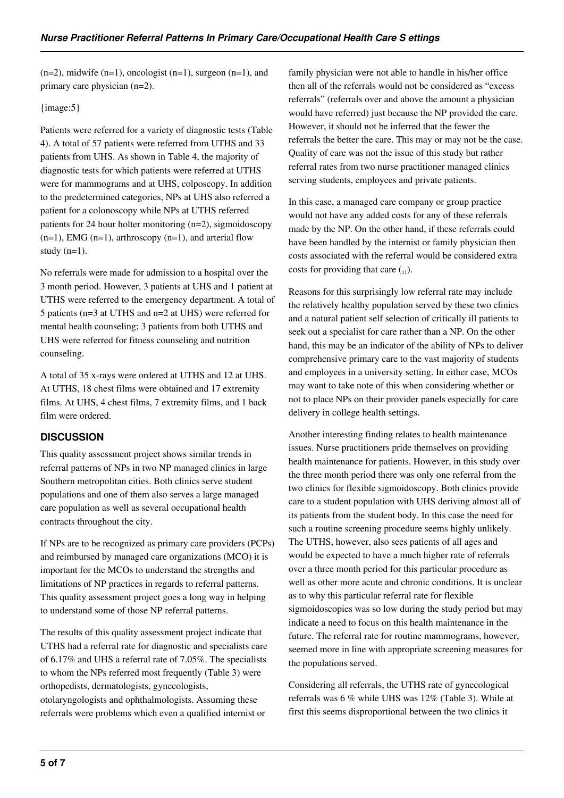$(n=2)$ , midwife  $(n=1)$ , oncologist  $(n=1)$ , surgeon  $(n=1)$ , and primary care physician (n=2).

#### {image:5}

Patients were referred for a variety of diagnostic tests (Table 4). A total of 57 patients were referred from UTHS and 33 patients from UHS. As shown in Table 4, the majority of diagnostic tests for which patients were referred at UTHS were for mammograms and at UHS, colposcopy. In addition to the predetermined categories, NPs at UHS also referred a patient for a colonoscopy while NPs at UTHS referred patients for 24 hour holter monitoring (n=2), sigmoidoscopy  $(n=1)$ , EMG  $(n=1)$ , arthroscopy  $(n=1)$ , and arterial flow study  $(n=1)$ .

No referrals were made for admission to a hospital over the 3 month period. However, 3 patients at UHS and 1 patient at UTHS were referred to the emergency department. A total of 5 patients (n=3 at UTHS and n=2 at UHS) were referred for mental health counseling; 3 patients from both UTHS and UHS were referred for fitness counseling and nutrition counseling.

A total of 35 x-rays were ordered at UTHS and 12 at UHS. At UTHS, 18 chest films were obtained and 17 extremity films. At UHS, 4 chest films, 7 extremity films, and 1 back film were ordered.

## **DISCUSSION**

This quality assessment project shows similar trends in referral patterns of NPs in two NP managed clinics in large Southern metropolitan cities. Both clinics serve student populations and one of them also serves a large managed care population as well as several occupational health contracts throughout the city.

If NPs are to be recognized as primary care providers (PCPs) and reimbursed by managed care organizations (MCO) it is important for the MCOs to understand the strengths and limitations of NP practices in regards to referral patterns. This quality assessment project goes a long way in helping to understand some of those NP referral patterns.

The results of this quality assessment project indicate that UTHS had a referral rate for diagnostic and specialists care of 6.17% and UHS a referral rate of 7.05%. The specialists to whom the NPs referred most frequently (Table 3) were orthopedists, dermatologists, gynecologists, otolaryngologists and ophthalmologists. Assuming these referrals were problems which even a qualified internist or

family physician were not able to handle in his/her office then all of the referrals would not be considered as "excess referrals" (referrals over and above the amount a physician would have referred) just because the NP provided the care. However, it should not be inferred that the fewer the referrals the better the care. This may or may not be the case. Quality of care was not the issue of this study but rather referral rates from two nurse practitioner managed clinics serving students, employees and private patients.

In this case, a managed care company or group practice would not have any added costs for any of these referrals made by the NP. On the other hand, if these referrals could have been handled by the internist or family physician then costs associated with the referral would be considered extra costs for providing that care  $(1, 1)$ .

Reasons for this surprisingly low referral rate may include the relatively healthy population served by these two clinics and a natural patient self selection of critically ill patients to seek out a specialist for care rather than a NP. On the other hand, this may be an indicator of the ability of NPs to deliver comprehensive primary care to the vast majority of students and employees in a university setting. In either case, MCOs may want to take note of this when considering whether or not to place NPs on their provider panels especially for care delivery in college health settings.

Another interesting finding relates to health maintenance issues. Nurse practitioners pride themselves on providing health maintenance for patients. However, in this study over the three month period there was only one referral from the two clinics for flexible sigmoidoscopy. Both clinics provide care to a student population with UHS deriving almost all of its patients from the student body. In this case the need for such a routine screening procedure seems highly unlikely. The UTHS, however, also sees patients of all ages and would be expected to have a much higher rate of referrals over a three month period for this particular procedure as well as other more acute and chronic conditions. It is unclear as to why this particular referral rate for flexible sigmoidoscopies was so low during the study period but may indicate a need to focus on this health maintenance in the future. The referral rate for routine mammograms, however, seemed more in line with appropriate screening measures for the populations served.

Considering all referrals, the UTHS rate of gynecological referrals was 6 % while UHS was 12% (Table 3). While at first this seems disproportional between the two clinics it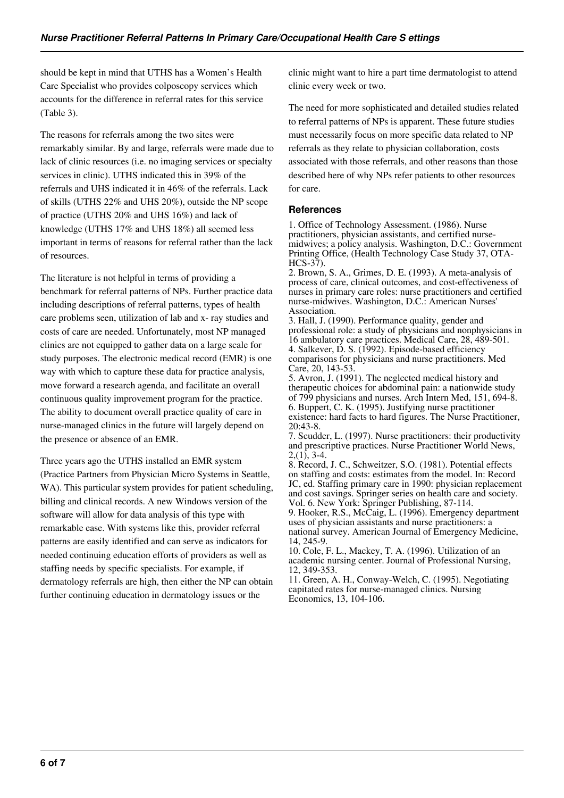should be kept in mind that UTHS has a Women's Health Care Specialist who provides colposcopy services which accounts for the difference in referral rates for this service (Table 3).

The reasons for referrals among the two sites were remarkably similar. By and large, referrals were made due to lack of clinic resources (i.e. no imaging services or specialty services in clinic). UTHS indicated this in 39% of the referrals and UHS indicated it in 46% of the referrals. Lack of skills (UTHS 22% and UHS 20%), outside the NP scope of practice (UTHS 20% and UHS 16%) and lack of knowledge (UTHS 17% and UHS 18%) all seemed less important in terms of reasons for referral rather than the lack of resources.

The literature is not helpful in terms of providing a benchmark for referral patterns of NPs. Further practice data including descriptions of referral patterns, types of health care problems seen, utilization of lab and x- ray studies and costs of care are needed. Unfortunately, most NP managed clinics are not equipped to gather data on a large scale for study purposes. The electronic medical record (EMR) is one way with which to capture these data for practice analysis, move forward a research agenda, and facilitate an overall continuous quality improvement program for the practice. The ability to document overall practice quality of care in nurse-managed clinics in the future will largely depend on the presence or absence of an EMR.

Three years ago the UTHS installed an EMR system (Practice Partners from Physician Micro Systems in Seattle, WA). This particular system provides for patient scheduling, billing and clinical records. A new Windows version of the software will allow for data analysis of this type with remarkable ease. With systems like this, provider referral patterns are easily identified and can serve as indicators for needed continuing education efforts of providers as well as staffing needs by specific specialists. For example, if dermatology referrals are high, then either the NP can obtain further continuing education in dermatology issues or the

clinic might want to hire a part time dermatologist to attend clinic every week or two.

The need for more sophisticated and detailed studies related to referral patterns of NPs is apparent. These future studies must necessarily focus on more specific data related to NP referrals as they relate to physician collaboration, costs associated with those referrals, and other reasons than those described here of why NPs refer patients to other resources for care.

#### **References**

1. Office of Technology Assessment. (1986). Nurse practitioners, physician assistants, and certified nursemidwives; a policy analysis. Washington, D.C.: Government Printing Office, (Health Technology Case Study 37, OTA-HCS-37).

2. Brown, S. A., Grimes, D. E. (1993). A meta-analysis of process of care, clinical outcomes, and cost-effectiveness of nurses in primary care roles: nurse practitioners and certified nurse-midwives. Washington, D.C.: American Nurses' Association.

3. Hall, J. (1990). Performance quality, gender and professional role: a study of physicians and nonphysicians in 16 ambulatory care practices. Medical Care, 28, 489-501. 4. Salkever, D. S. (1992). Episode-based efficiency comparisons for physicians and nurse practitioners. Med Care, 20, 143-53.

5. Avron, J. (1991). The neglected medical history and therapeutic choices for abdominal pain: a nationwide study of 799 physicians and nurses. Arch Intern Med, 151, 694-8. 6. Buppert, C. K. (1995). Justifying nurse practitioner existence: hard facts to hard figures. The Nurse Practitioner, 20:43-8.

7. Scudder, L. (1997). Nurse practitioners: their productivity and prescriptive practices. Nurse Practitioner World News,  $2,(1), 3-4.$ 

8. Record, J. C., Schweitzer, S.O. (1981). Potential effects on staffing and costs: estimates from the model. In: Record JC, ed. Staffing primary care in 1990: physician replacement and cost savings. Springer series on health care and society. Vol. 6. New York: Springer Publishing, 87-114.

9. Hooker, R.S., McCaig, L. (1996). Emergency department uses of physician assistants and nurse practitioners: a national survey. American Journal of Emergency Medicine, 14, 245-9.

10. Cole, F. L., Mackey, T. A. (1996). Utilization of an academic nursing center. Journal of Professional Nursing, 12, 349-353.

11. Green, A. H., Conway-Welch, C. (1995). Negotiating capitated rates for nurse-managed clinics. Nursing Economics, 13, 104-106.